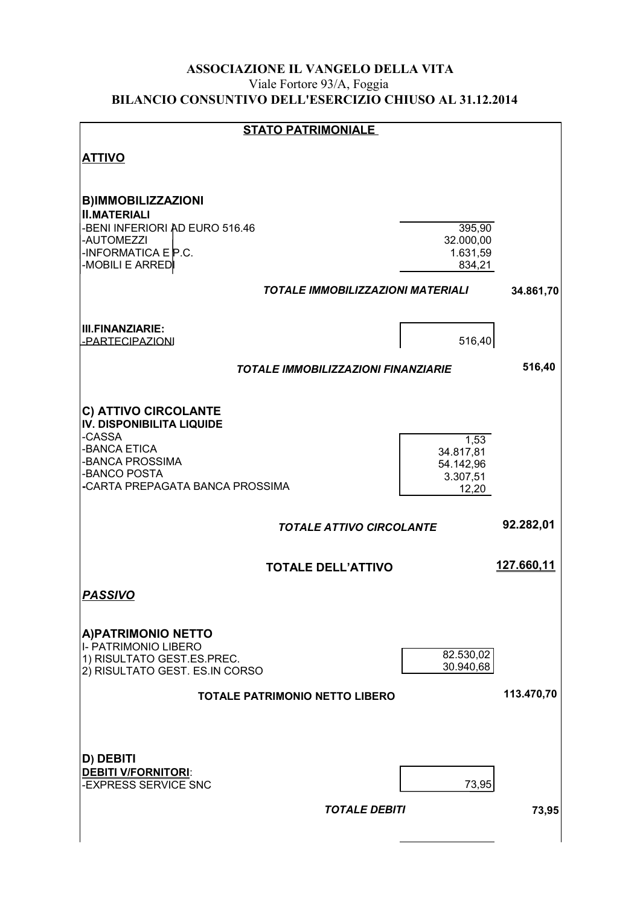#### ASSOCIAZIONE IL VANGELO DELLA VITA Viale Fortore 93/A, Foggia BILANCIO CONSUNTIVO DELL'ESERCIZIO CHIUSO AL 31.12.2014

| <b>STATO PATRIMONIALE</b>                                                                                                                                  |                                                     |            |
|------------------------------------------------------------------------------------------------------------------------------------------------------------|-----------------------------------------------------|------------|
| <b>ATTIVO</b>                                                                                                                                              |                                                     |            |
| <b>B)IMMOBILIZZAZIONI</b><br><b>II.MATERIALI</b><br>-BENI INFERIORI AD EURO 516.46<br>-AUTOMEZZI                                                           | 395,90<br>32.000,00                                 |            |
| -INFORMATICA $E$ P.C.<br>-MOBILI E ARRED                                                                                                                   | 1.631,59<br>834,21                                  |            |
| <b>TOTALE IMMOBILIZZAZIONI MATERIALI</b>                                                                                                                   |                                                     | 34.861,70  |
| <b>III.FINANZIARIE:</b><br>-PARTECIPAZIONI                                                                                                                 | 516,40                                              |            |
| <b>TOTALE IMMOBILIZZAZIONI FINANZIARIE</b>                                                                                                                 |                                                     | 516,40     |
| C) ATTIVO CIRCOLANTE<br><b>IV. DISPONIBILITA LIQUIDE</b><br>-CASSA<br>-BANCA ETICA<br>-BANCA PROSSIMA<br>-BANCO POSTA<br>-CARTA PREPAGATA BANCA PROSSIMA   | 1,53<br>34.817,81<br>54.142,96<br>3.307,51<br>12,20 |            |
| <b>TOTALE ATTIVO CIRCOLANTE</b>                                                                                                                            |                                                     | 92.282,01  |
| <b>TOTALE DELL'ATTIVO</b>                                                                                                                                  |                                                     | 127.660,11 |
| <b>PASSIVO</b>                                                                                                                                             |                                                     |            |
| <b>A)PATRIMONIO NETTO</b><br>I- PATRIMONIO LIBERO<br>1) RISULTATO GEST.ES.PREC.<br>2) RISULTATO GEST. ES.IN CORSO<br><b>TOTALE PATRIMONIO NETTO LIBERO</b> | 82.530,02<br>30.940,68                              | 113.470,70 |
| D) DEBITI<br><b>DEBITI V/FORNITORI:</b><br>-EXPRESS SERVICE SNC<br><b>TOTALE DEBITI</b>                                                                    | 73,95                                               | 73,95      |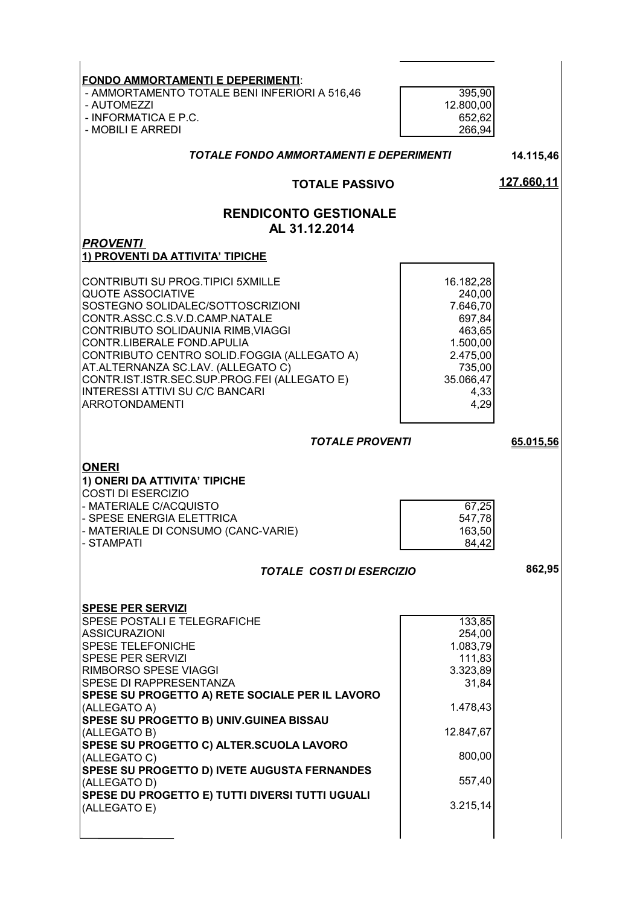| <b>FONDO AMMORTAMENTI E DEPERIMENTI:</b>                                           |                     |            |
|------------------------------------------------------------------------------------|---------------------|------------|
| - AMMORTAMENTO TOTALE BENI INFERIORI A 516,46<br>- AUTOMEZZI                       | 395,90<br>12.800,00 |            |
| - INFORMATICA E P.C.                                                               | 652,62              |            |
| - MOBILI E ARREDI                                                                  | 266,94              |            |
| TOTALE FONDO AMMORTAMENTI E DEPERIMENTI                                            |                     | 14.115,46  |
| <b>TOTALE PASSIVO</b>                                                              |                     | 127.660,11 |
| <b>RENDICONTO GESTIONALE</b>                                                       |                     |            |
| AL 31.12.2014<br><b>PROVENTI</b>                                                   |                     |            |
| 1) PROVENTI DA ATTIVITA' TIPICHE                                                   |                     |            |
| CONTRIBUTI SU PROG.TIPICI 5XMILLE                                                  | 16.182,28           |            |
| <b>QUOTE ASSOCIATIVE</b><br>SOSTEGNO SOLIDALEC/SOTTOSCRIZIONI                      | 240,00<br>7.646,70  |            |
| CONTR.ASSC.C.S.V.D.CAMP.NATALE                                                     | 697,84              |            |
| CONTRIBUTO SOLIDAUNIA RIMB, VIAGGI<br>CONTR.LIBERALE FOND.APULIA                   | 463,65<br>1.500,00  |            |
| CONTRIBUTO CENTRO SOLID.FOGGIA (ALLEGATO A)                                        | 2.475,00            |            |
| AT.ALTERNANZA SC.LAV. (ALLEGATO C)<br>CONTR.IST.ISTR.SEC.SUP.PROG.FEI (ALLEGATO E) | 735,00<br>35.066,47 |            |
| <b>INTERESSI ATTIVI SU C/C BANCARI</b>                                             | 4,33                |            |
| <b>ARROTONDAMENTI</b>                                                              | 4,29                |            |
| <b>TOTALE PROVENTI</b>                                                             |                     | 65.015,56  |
|                                                                                    |                     |            |
|                                                                                    |                     |            |
| <b>ONERI</b><br>1) ONERI DA ATTIVITA' TIPICHE                                      |                     |            |
| <b>COSTI DI ESERCIZIO</b><br>- MATERIALE C/ACQUISTO                                | 67,25               |            |
| - SPESE ENERGIA ELETTRICA                                                          | 547,78              |            |
| - MATERIALE DI CONSUMO (CANC-VARIE)<br>- STAMPATI                                  | 163,50<br>84,42     |            |
| <b>TOTALE COSTI DI ESERCIZIO</b>                                                   |                     | 862,95     |
|                                                                                    |                     |            |
| <b>SPESE PER SERVIZI</b>                                                           |                     |            |
| SPESE POSTALI E TELEGRAFICHE<br><b>ASSICURAZIONI</b>                               | 133,85              |            |
| <b>SPESE TELEFONICHE</b>                                                           | 254,00<br>1.083,79  |            |
| <b>SPESE PER SERVIZI</b><br>RIMBORSO SPESE VIAGGI                                  | 111,83<br>3.323,89  |            |
| SPESE DI RAPPRESENTANZA                                                            | 31,84               |            |
| SPESE SU PROGETTO A) RETE SOCIALE PER IL LAVORO<br>(ALLEGATO A)                    | 1.478,43            |            |
| SPESE SU PROGETTO B) UNIV.GUINEA BISSAU                                            |                     |            |
| (ALLEGATO B)<br>SPESE SU PROGETTO C) ALTER.SCUOLA LAVORO                           | 12.847,67           |            |
| (ALLEGATO C)<br>SPESE SU PROGETTO D) IVETE AUGUSTA FERNANDES                       | 800,00              |            |
| (ALLEGATO D)                                                                       | 557,40              |            |
| SPESE DU PROGETTO E) TUTTI DIVERSI TUTTI UGUALI<br>(ALLEGATO E)                    | 3.215,14            |            |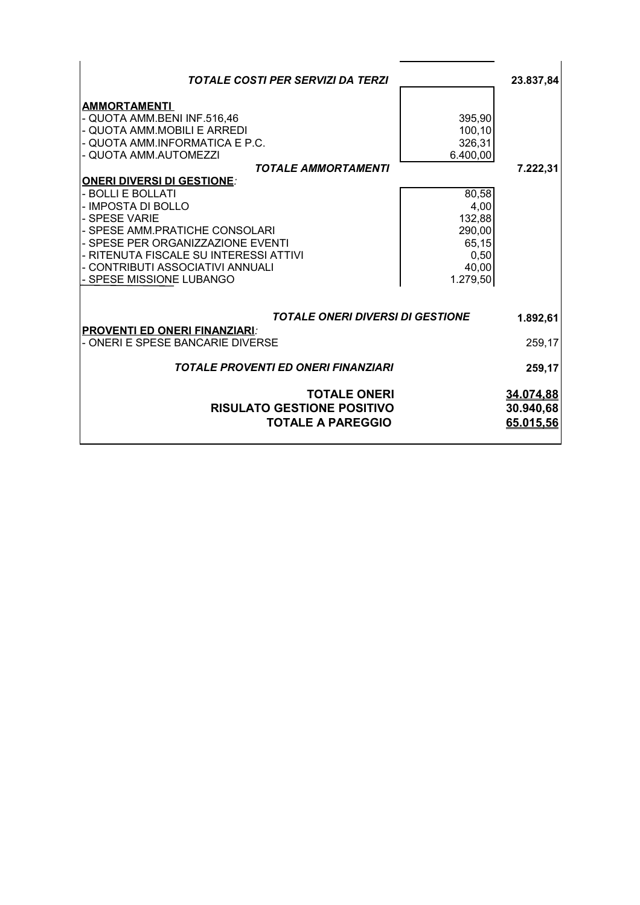| <b>TOTALE COSTI PER SERVIZI DA TERZI</b>                                                                                                                                                                                                                                                                                                                                                                                                                     |                                                                                                                   | 23.837,84                           |
|--------------------------------------------------------------------------------------------------------------------------------------------------------------------------------------------------------------------------------------------------------------------------------------------------------------------------------------------------------------------------------------------------------------------------------------------------------------|-------------------------------------------------------------------------------------------------------------------|-------------------------------------|
| <b>AMMORTAMENTI</b><br>- QUOTA AMM.BENI INF.516,46<br>- QUOTA AMM.MOBILI E ARREDI<br>- QUOTA AMM.INFORMATICA E P.C.<br>- QUOTA AMM.AUTOMEZZI<br><b>TOTALE AMMORTAMENTI</b><br><b>ONERI DIVERSI DI GESTIONE:</b><br>- BOLLI E BOLLATI<br>- IMPOSTA DI BOLLO<br>- SPESE VARIE<br>- SPESE AMM.PRATICHE CONSOLARI<br>- SPESE PER ORGANIZZAZIONE EVENTI<br>- RITENUTA FISCALE SU INTERESSI ATTIVI<br>- CONTRIBUTI ASSOCIATIVI ANNUALI<br>- SPESE MISSIONE LUBANGO | 395,90<br>100,10<br>326,31<br>6.400,00<br>80,58<br>4,00<br>132,88<br>290,00<br>65,15<br>0,50<br>40,00<br>1.279,50 | 7.222,31                            |
| <b>TOTALE ONERI DIVERSI DI GESTIONE</b>                                                                                                                                                                                                                                                                                                                                                                                                                      |                                                                                                                   | 1.892,61                            |
| <b>PROVENTI ED ONERI FINANZIARI:</b><br>- ONERI E SPESE BANCARIE DIVERSE                                                                                                                                                                                                                                                                                                                                                                                     |                                                                                                                   | 259,17                              |
| <b>TOTALE PROVENTI ED ONERI FINANZIARI</b>                                                                                                                                                                                                                                                                                                                                                                                                                   |                                                                                                                   | 259,17                              |
| <b>TOTALE ONERI</b><br><b>RISULATO GESTIONE POSITIVO</b><br><b>TOTALE A PAREGGIO</b>                                                                                                                                                                                                                                                                                                                                                                         |                                                                                                                   | 34.074.88<br>30.940,68<br>65.015,56 |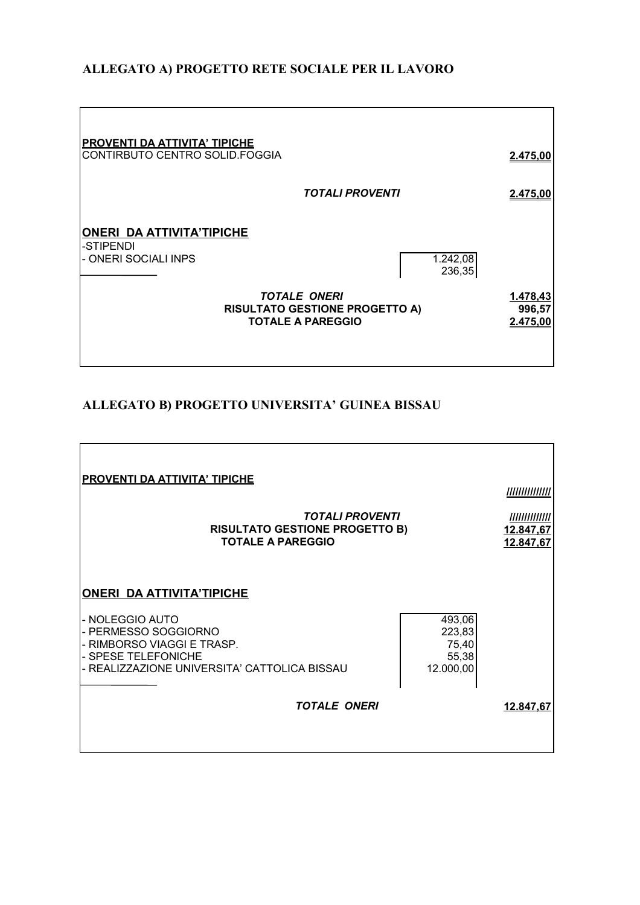### **ALLEGATO A) PROGETTO RETE SOCIALE PER IL LAVORO**

| <b>PROVENTI DA ATTIVITA' TIPICHE</b><br>CONTIRBUTO CENTRO SOLID.FOGGIA |                                                                                                                | 2.475,00                       |
|------------------------------------------------------------------------|----------------------------------------------------------------------------------------------------------------|--------------------------------|
|                                                                        | <b>TOTALI PROVENTI</b>                                                                                         | 2.475,00                       |
| <b>ONERI DA ATTIVITA'TIPICHE</b><br>-STIPENDI<br>- ONERI SOCIALI INPS  | 1.242,08<br>236,35<br><b>TOTALE ONERI</b><br><b>RISULTATO GESTIONE PROGETTO A)</b><br><b>TOTALE A PAREGGIO</b> | 1.478,43<br>996,57<br>2.475,00 |

#### **ALLEGATO B) PROGETTO UNIVERSITA' GUINEA BISSAU**

| <b>PROVENTI DA ATTIVITA' TIPICHE</b><br><b>TOTALI PROVENTI</b><br><b>RISULTATO GESTIONE PROGETTO B)</b><br><b>TOTALE A PAREGGIO</b>                                                                     |                                                 | ,,,,,,,,,,,,,,,,<br>/////////////<br>12.847,67<br>12.847,67 |
|---------------------------------------------------------------------------------------------------------------------------------------------------------------------------------------------------------|-------------------------------------------------|-------------------------------------------------------------|
| <b>ONERI DA ATTIVITA'TIPICHE</b><br>- NOLEGGIO AUTO<br>- PERMESSO SOGGIORNO<br>- RIMBORSO VIAGGI E TRASP.<br>- SPESE TELEFONICHE<br>- REALIZZAZIONE UNIVERSITA' CATTOLICA BISSAU<br><b>TOTALE ONERI</b> | 493,06<br>223,83<br>75,40<br>55,38<br>12.000,00 | 12.847,67                                                   |
|                                                                                                                                                                                                         |                                                 |                                                             |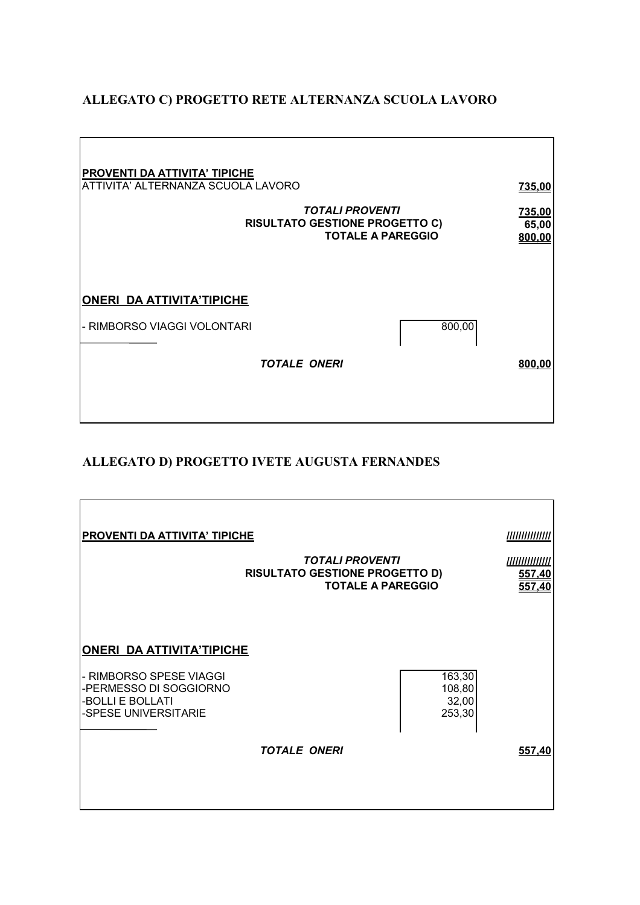#### **ALLEGATO C) PROGETTO RETE ALTERNANZA SCUOLA LAVORO**

| <b>PROVENTI DA ATTIVITA' TIPICHE</b><br>ATTIVITA' ALTERNANZA SCUOLA LAVORO                  |                     | 735,00                    |
|---------------------------------------------------------------------------------------------|---------------------|---------------------------|
| <b>TOTALI PROVENTI</b><br><b>RISULTATO GESTIONE PROGETTO C)</b><br><b>TOTALE A PAREGGIO</b> |                     | 735,00<br>65,00<br>800,00 |
| <b>ONERI DA ATTIVITA'TIPICHE</b>                                                            |                     |                           |
| - RIMBORSO VIAGGI VOLONTARI                                                                 |                     | 800,00                    |
|                                                                                             | <b>TOTALE ONERI</b> | 800,00                    |
|                                                                                             |                     |                           |

## **ALLEGATO D) PROGETTO IVETE AUGUSTA FERNANDES**

| <b>PROVENTI DA ATTIVITA' TIPICHE</b><br><b>TOTALI PROVENTI</b><br><b>RISULTATO GESTIONE PROGETTO D)</b><br><b>TOTALE A PAREGGIO</b> |                     | <u> ////////////////</u><br>557,40<br>557,40 |        |
|-------------------------------------------------------------------------------------------------------------------------------------|---------------------|----------------------------------------------|--------|
| <b>ONERI DA ATTIVITA'TIPICHE</b><br>- RIMBORSO SPESE VIAGGI<br>-PERMESSO DI SOGGIORNO                                               |                     | 163,30<br>108,80                             |        |
| -BOLLI E BOLLATI<br>-SPESE UNIVERSITARIE                                                                                            | <b>TOTALE ONERI</b> | 32,00<br>253,30                              | 557,40 |
|                                                                                                                                     |                     |                                              |        |